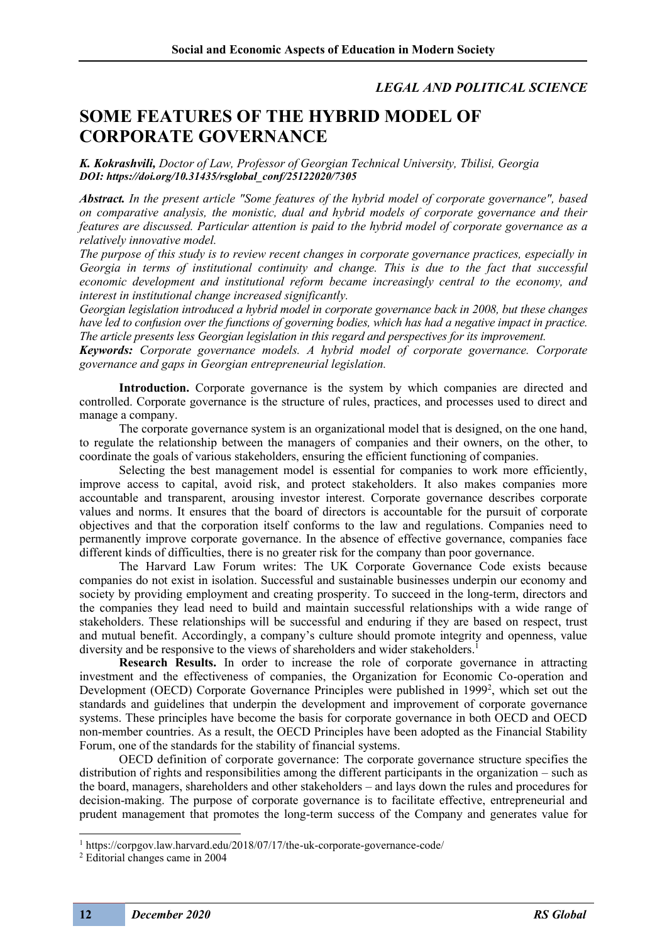## *LEGAL AND POLITICAL SCIENCE*

## **SOME FEATURES OF THE HYBRID MODEL OF CORPORATE GOVERNANCE**

*K. Kokrashvili, Doctor of Law, Professor of Georgian Technical University, Tbilisi, Georgia DOI: https://doi.org/10.31435/rsglobal\_conf/25122020/7305*

*Abstract. In the present article "Some features of the hybrid model of corporate governance", based on comparative analysis, the monistic, dual and hybrid models of corporate governance and their features are discussed. Particular attention is paid to the hybrid model of corporate governance as a relatively innovative model.*

*The purpose of this study is to review recent changes in corporate governance practices, especially in Georgia in terms of institutional continuity and change. This is due to the fact that successful economic development and institutional reform became increasingly central to the economy, and interest in institutional change increased significantly.*

*Georgian legislation introduced a hybrid model in corporate governance back in 2008, but these changes have led to confusion over the functions of governing bodies, which has had a negative impact in practice. The article presents less Georgian legislation in this regard and perspectives for its improvement.* 

*Keywords: Corporate governance models. A hybrid model of corporate governance. Corporate governance and gaps in Georgian entrepreneurial legislation.*

**Introduction.** Corporate governance is the system by which companies are directed and controlled. Corporate governance is the structure of rules, practices, and processes used to direct and manage a company.

The corporate governance system is an organizational model that is designed, on the one hand, to regulate the relationship between the managers of companies and their owners, on the other, to coordinate the goals of various stakeholders, ensuring the efficient functioning of companies.

Selecting the best management model is essential for companies to work more efficiently, improve access to capital, avoid risk, and protect stakeholders. It also makes companies more accountable and transparent, arousing investor interest. Corporate governance describes corporate values and norms. It ensures that the board of directors is accountable for the pursuit of corporate objectives and that the corporation itself conforms to the law and regulations. Companies need to permanently improve corporate governance. In the absence of effective governance, companies face different kinds of difficulties, there is no greater risk for the company than poor governance.

The Harvard Law Forum writes: The UK Corporate Governance Code exists because companies do not exist in isolation. Successful and sustainable businesses underpin our economy and society by providing employment and creating prosperity. To succeed in the long-term, directors and the companies they lead need to build and maintain successful relationships with a wide range of stakeholders. These relationships will be successful and enduring if they are based on respect, trust and mutual benefit. Accordingly, a company's culture should promote integrity and openness, value diversity and be responsive to the views of shareholders and wider stakeholders.<sup>1</sup>

**Research Results.** In order to increase the role of corporate governance in attracting investment and the effectiveness of companies, the Organization for Economic Co-operation and Development (OECD) Corporate Governance Principles were published in 1999<sup>2</sup>, which set out the standards and guidelines that underpin the development and improvement of corporate governance systems. These principles have become the basis for corporate governance in both OECD and OECD non-member countries. As a result, the OECD Principles have been adopted as the Financial Stability Forum, one of the standards for the stability of financial systems.

OECD definition of corporate governance: The corporate governance structure specifies the distribution of rights and responsibilities among the different participants in the organization – such as the board, managers, shareholders and other stakeholders – and lays down the rules and procedures for decision-making. The purpose of corporate governance is to facilitate effective, entrepreneurial and prudent management that promotes the long-term success of the Company and generates value for

<sup>1</sup> https://corpgov.law.harvard.edu/2018/07/17/the-uk-corporate-governance-code/

<sup>2</sup> Editorial changes came in 2004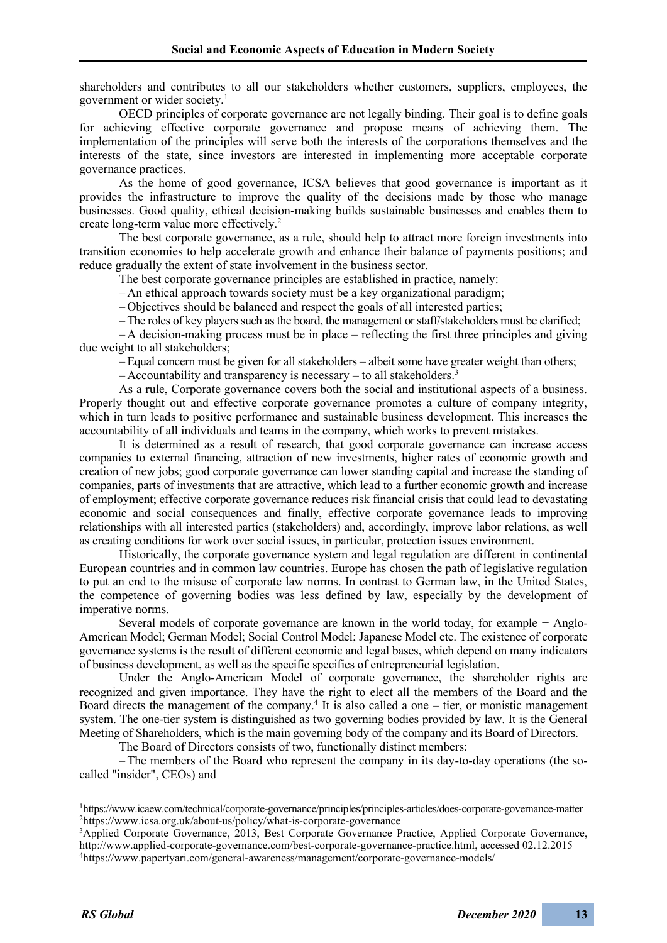shareholders and contributes to all our stakeholders whether customers, suppliers, employees, the government or wider society.1

OECD principles of corporate governance are not legally binding. Their goal is to define goals for achieving effective corporate governance and propose means of achieving them. The implementation of the principles will serve both the interests of the corporations themselves and the interests of the state, since investors are interested in implementing more acceptable corporate governance practices.

As the home of good governance, ICSA believes that good governance is important as it provides the infrastructure to improve the quality of the decisions made by those who manage businesses. Good quality, ethical decision-making builds sustainable businesses and enables them to create long-term value more effectively.2

The best corporate governance, as a rule, should help to attract more foreign investments into transition economies to help accelerate growth and enhance their balance of payments positions; and reduce gradually the extent of state involvement in the business sector.

The best corporate governance principles are established in practice, namely:

– An ethical approach towards society must be a key organizational paradigm;

– Objectives should be balanced and respect the goals of all interested parties;

–The roles of key players such as the board, the management or staff/stakeholders must be clarified;

 $-A$  decision-making process must be in place – reflecting the first three principles and giving due weight to all stakeholders;

–Equal concern must be given for all stakeholders – albeit some have greater weight than others;

 $-$  Accountability and transparency is necessary – to all stakeholders.<sup>3</sup>

As a rule, Corporate governance covers both the social and institutional aspects of a business. Properly thought out and effective corporate governance promotes a culture of company integrity, which in turn leads to positive performance and sustainable business development. This increases the accountability of all individuals and teams in the company, which works to prevent mistakes.

It is determined as a result of research, that good corporate governance can increase access companies to external financing, attraction of new investments, higher rates of economic growth and creation of new jobs; good corporate governance can lower standing capital and increase the standing of companies, parts of investments that are attractive, which lead to a further economic growth and increase of employment; effective corporate governance reduces risk financial crisis that could lead to devastating economic and social consequences and finally, effective corporate governance leads to improving relationships with all interested parties (stakeholders) and, accordingly, improve labor relations, as well as creating conditions for work over social issues, in particular, protection issues environment.

Historically, the corporate governance system and legal regulation are different in continental European countries and in common law countries. Europe has chosen the path of legislative regulation to put an end to the misuse of corporate law norms. In contrast to German law, in the United States, the competence of governing bodies was less defined by law, especially by the development of imperative norms.

Several models of corporate governance are known in the world today, for example − Anglo-American Model; German Model; Social Control Model; Japanese Model etc. The existence of corporate governance systems is the result of different economic and legal bases, which depend on many indicators of business development, as well as the specific specifics of entrepreneurial legislation.

Under the Anglo-American Model of corporate governance, the shareholder rights are recognized and given importance. They have the right to elect all the members of the Board and the Board directs the management of the company.<sup>4</sup> It is also called a one – tier, or monistic management system. The one-tier system is distinguished as two governing bodies provided by law. It is the General Meeting of Shareholders, which is the main governing body of the company and its Board of Directors.

The Board of Directors consists of two, functionally distinct members:

–The members of the Board who represent the company in its day-to-day operations (the socalled "insider", CEOs) and

<sup>1</sup> https://www.icaew.com/technical/corporate-governance/principles/principles-articles/does-corporate-governance-matter 2 https://www.icsa.org.uk/about-us/policy/what-is-corporate-governance

<sup>3</sup> Applied Corporate Governance, 2013, Best Corporate Governance Practice, Applied Corporate Governance, http://www.applied-corporate-governance.com/best-corporate-governance-practice.html, accessed 02.12.2015 4 https://www.papertyari.com/general-awareness/management/corporate-governance-models/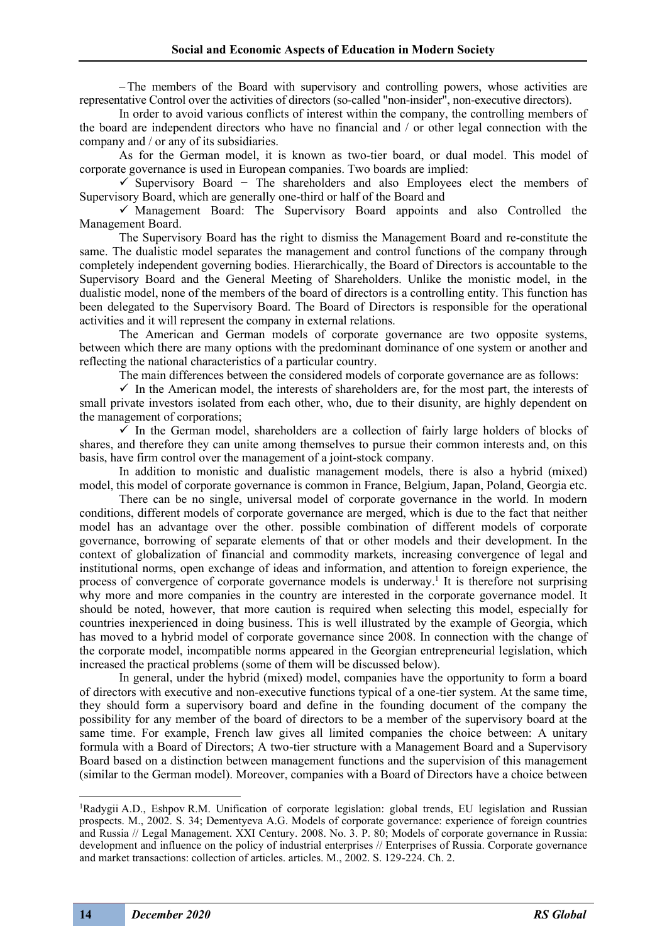–The members of the Board with supervisory and controlling powers, whose activities are representative Control over the activities of directors (so-called "non-insider", non-executive directors).

In order to avoid various conflicts of interest within the company, the controlling members of the board are independent directors who have no financial and / or other legal connection with the company and / or any of its subsidiaries.

As for the German model, it is known as two-tier board, or dual model. This model of corporate governance is used in European companies. Two boards are implied:

✓ Supervisory Board − The shareholders and also Employees elect the members of Supervisory Board, which are generally one-third or half of the Board and

 $\checkmark$  Management Board: The Supervisory Board appoints and also Controlled the Management Board.

The Supervisory Board has the right to dismiss the Management Board and re-constitute the same. The dualistic model separates the management and control functions of the company through completely independent governing bodies. Hierarchically, the Board of Directors is accountable to the Supervisory Board and the General Meeting of Shareholders. Unlike the monistic model, in the dualistic model, none of the members of the board of directors is a controlling entity. This function has been delegated to the Supervisory Board. The Board of Directors is responsible for the operational activities and it will represent the company in external relations.

The American and German models of corporate governance are two opposite systems, between which there are many options with the predominant dominance of one system or another and reflecting the national characteristics of a particular country.

The main differences between the considered models of corporate governance are as follows:

 $\checkmark$  In the American model, the interests of shareholders are, for the most part, the interests of small private investors isolated from each other, who, due to their disunity, are highly dependent on the management of corporations;

 $\checkmark$  In the German model, shareholders are a collection of fairly large holders of blocks of shares, and therefore they can unite among themselves to pursue their common interests and, on this basis, have firm control over the management of a joint-stock company.

In addition to monistic and dualistic management models, there is also a hybrid (mixed) model, this model of corporate governance is common in France, Belgium, Japan, Poland, Georgia etc.

There can be no single, universal model of corporate governance in the world. In modern conditions, different models of corporate governance are merged, which is due to the fact that neither model has an advantage over the other. possible combination of different models of corporate governance, borrowing of separate elements of that or other models and their development. In the context of globalization of financial and commodity markets, increasing convergence of legal and institutional norms, open exchange of ideas and information, and attention to foreign experience, the process of convergence of corporate governance models is underway.<sup>1</sup> It is therefore not surprising why more and more companies in the country are interested in the corporate governance model. It should be noted, however, that more caution is required when selecting this model, especially for countries inexperienced in doing business. This is well illustrated by the example of Georgia, which has moved to a hybrid model of corporate governance since 2008. In connection with the change of the corporate model, incompatible norms appeared in the Georgian entrepreneurial legislation, which increased the practical problems (some of them will be discussed below).

In general, under the hybrid (mixed) model, companies have the opportunity to form a board of directors with executive and non-executive functions typical of a one-tier system. At the same time, they should form a supervisory board and define in the founding document of the company the possibility for any member of the board of directors to be a member of the supervisory board at the same time. For example, French law gives all limited companies the choice between: A unitary formula with a Board of Directors; A two-tier structure with a Management Board and a Supervisory Board based on a distinction between management functions and the supervision of this management (similar to the German model). Moreover, companies with a Board of Directors have a choice between

<sup>&</sup>lt;sup>1</sup>Radygii A.D., Eshpov R.M. Unification of corporate legislation: global trends, EU legislation and Russian prospects. M., 2002. S. 34; Dementyeva A.G. Models of corporate governance: experience of foreign countries and Russia // Legal Management. XXI Century. 2008. No. 3. P. 80; Models of corporate governance in Russia: development and influence on the policy of industrial enterprises // Enterprises of Russia. Corporate governance and market transactions: collection of articles. articles. M., 2002. S. 129-224. Ch. 2.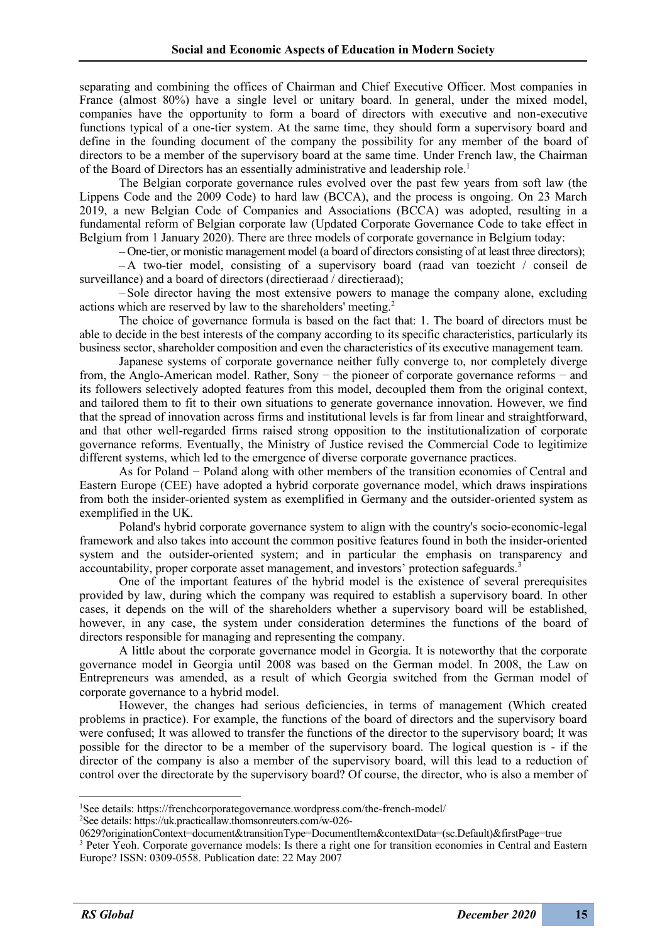separating and combining the offices of Chairman and Chief Executive Officer. Most companies in France (almost 80%) have a single level or unitary board. In general, under the mixed model, companies have the opportunity to form a board of directors with executive and non-executive functions typical of a one-tier system. At the same time, they should form a supervisory board and define in the founding document of the company the possibility for any member of the board of directors to be a member of the supervisory board at the same time. Under French law, the Chairman of the Board of Directors has an essentially administrative and leadership role.<sup>1</sup>

The Belgian corporate governance rules evolved over the past few years from soft law (the Lippens Code and the 2009 Code) to hard law (BCCA), and the process is ongoing. On 23 March 2019, a new Belgian Code of Companies and Associations (BCCA) was adopted, resulting in a fundamental reform of Belgian corporate law (Updated Corporate Governance Code to take effect in Belgium from 1 January 2020). There are three models of corporate governance in Belgium today:

– One-tier, or monistic management model (a board of directors consisting of at least three directors);

– A two-tier model, consisting of a supervisory board (raad van toezicht / conseil de surveillance) and a board of directors (directieraad / directieraad);

– Sole director having the most extensive powers to manage the company alone, excluding actions which are reserved by law to the shareholders' meeting.2

The choice of governance formula is based on the fact that: 1. The board of directors must be able to decide in the best interests of the company according to its specific characteristics, particularly its business sector, shareholder composition and even the characteristics of its executive management team.

Japanese systems of corporate governance neither fully converge to, nor completely diverge from, the Anglo-American model. Rather, Sony − the pioneer of corporate governance reforms − and its followers selectively adopted features from this model, decoupled them from the original context, and tailored them to fit to their own situations to generate governance innovation. However, we find that the spread of innovation across firms and institutional levels is far from linear and straightforward, and that other well-regarded firms raised strong opposition to the institutionalization of corporate governance reforms. Eventually, the Ministry of Justice revised the Commercial Code to legitimize different systems, which led to the emergence of diverse corporate governance practices.

As for Poland − Poland along with other members of the transition economies of Central and Eastern Europe (CEE) have adopted a hybrid corporate governance model, which draws inspirations from both the insider‐oriented system as exemplified in Germany and the outsider‐oriented system as exemplified in the UK.

Poland's hybrid corporate governance system to align with the country's socio‐economic‐legal framework and also takes into account the common positive features found in both the insider-oriented system and the outsider-oriented system; and in particular the emphasis on transparency and accountability, proper corporate asset management, and investors' protection safeguards.<sup>3</sup>

One of the important features of the hybrid model is the existence of several prerequisites provided by law, during which the company was required to establish a supervisory board. In other cases, it depends on the will of the shareholders whether a supervisory board will be established, however, in any case, the system under consideration determines the functions of the board of directors responsible for managing and representing the company.

A little about the corporate governance model in Georgia. It is noteworthy that the corporate governance model in Georgia until 2008 was based on the German model. In 2008, the Law on Entrepreneurs was amended, as a result of which Georgia switched from the German model of corporate governance to a hybrid model.

However, the changes had serious deficiencies, in terms of management (Which created problems in practice). For example, the functions of the board of directors and the supervisory board were confused; It was allowed to transfer the functions of the director to the supervisory board; It was possible for the director to be a member of the supervisory board. The logical question is - if the director of the company is also a member of the supervisory board, will this lead to a reduction of control over the directorate by the supervisory board? Of course, the director, who is also a member of

See details: https://uk.practicallaw.thomsonreuters.com/w-026-

<sup>&</sup>lt;sup>1</sup>See details: https://frenchcorporategovernance.wordpress.com/the-french-model/<br><sup>2</sup>See details: https://uk.practicallaw.thomsonreuters.com/w-026-

<sup>0629?</sup>originationContext=document&transitionType=DocumentItem&contextData=(sc.Default)&firstPage=true

<sup>&</sup>lt;sup>3</sup> Peter Yeoh. Corporate governance models: Is there a right one for transition economies in Central and Eastern Europe? ISSN: 0309-0558. Publication date: 22 May 2007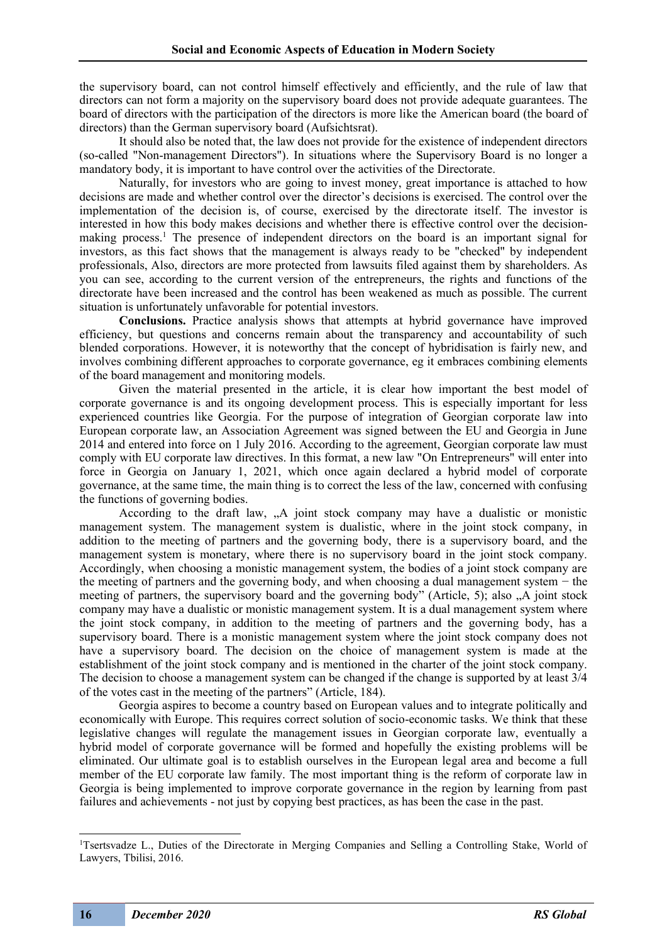the supervisory board, can not control himself effectively and efficiently, and the rule of law that directors can not form a majority on the supervisory board does not provide adequate guarantees. The board of directors with the participation of the directors is more like the American board (the board of directors) than the German supervisory board (Aufsichtsrat).

It should also be noted that, the law does not provide for the existence of independent directors (so-called "Non-management Directors"). In situations where the Supervisory Board is no longer a mandatory body, it is important to have control over the activities of the Directorate.

Naturally, for investors who are going to invest money, great importance is attached to how decisions are made and whether control over the director's decisions is exercised. The control over the implementation of the decision is, of course, exercised by the directorate itself. The investor is interested in how this body makes decisions and whether there is effective control over the decisionmaking process.<sup>1</sup> The presence of independent directors on the board is an important signal for investors, as this fact shows that the management is always ready to be "checked" by independent professionals, Also, directors are more protected from lawsuits filed against them by shareholders. As you can see, according to the current version of the entrepreneurs, the rights and functions of the directorate have been increased and the control has been weakened as much as possible. The current situation is unfortunately unfavorable for potential investors.

**Conclusions.** Practice analysis shows that attempts at hybrid governance have improved efficiency, but questions and concerns remain about the transparency and accountability of such blended corporations. However, it is noteworthy that the concept of hybridisation is fairly new, and involves combining different approaches to corporate governance, eg it embraces combining elements of the board management and monitoring models.

Given the material presented in the article, it is clear how important the best model of corporate governance is and its ongoing development process. This is especially important for less experienced countries like Georgia. For the purpose of integration of Georgian corporate law into European corporate law, an Association Agreement was signed between the EU and Georgia in June 2014 and entered into force on 1 July 2016. According to the agreement, Georgian corporate law must comply with EU corporate law directives. In this format, a new law "On Entrepreneurs" will enter into force in Georgia on January 1, 2021, which once again declared a hybrid model of corporate governance, at the same time, the main thing is to correct the less of the law, concerned with confusing the functions of governing bodies.

According to the draft law, "A joint stock company may have a dualistic or monistic management system. The management system is dualistic, where in the joint stock company, in addition to the meeting of partners and the governing body, there is a supervisory board, and the management system is monetary, where there is no supervisory board in the joint stock company. Accordingly, when choosing a monistic management system, the bodies of a joint stock company are the meeting of partners and the governing body, and when choosing a dual management system − the meeting of partners, the supervisory board and the governing body" (Article, 5); also "A joint stock company may have a dualistic or monistic management system. It is a dual management system where the joint stock company, in addition to the meeting of partners and the governing body, has a supervisory board. There is a monistic management system where the joint stock company does not have a supervisory board. The decision on the choice of management system is made at the establishment of the joint stock company and is mentioned in the charter of the joint stock company. The decision to choose a management system can be changed if the change is supported by at least 3/4 of the votes cast in the meeting of the partners" (Article, 184).

Georgia aspires to become a country based on European values and to integrate politically and economically with Europe. This requires correct solution of socio-economic tasks. We think that these legislative changes will regulate the management issues in Georgian corporate law, eventually a hybrid model of corporate governance will be formed and hopefully the existing problems will be eliminated. Our ultimate goal is to establish ourselves in the European legal area and become a full member of the EU corporate law family. The most important thing is the reform of corporate law in Georgia is being implemented to improve corporate governance in the region by learning from past failures and achievements - not just by copying best practices, as has been the case in the past.

<sup>&</sup>lt;sup>1</sup>Tsertsvadze L., Duties of the Directorate in Merging Companies and Selling a Controlling Stake, World of Lawyers, Tbilisi, 2016.